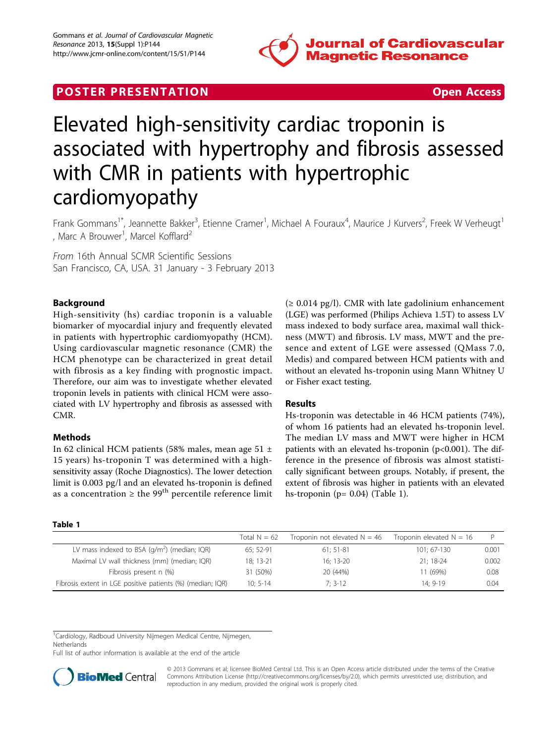

# **POSTER PRESENTATION CONSUMING THE SECOND CONSUMING THE SECOND CONSUMING THE SECOND CONSUMING THE SECOND CONSUMING THE SECOND CONSUMING THE SECOND CONSUMING THE SECOND CONSUMING THE SECOND CONSUMING THE SECOND CONSUMING**



# Elevated high-sensitivity cardiac troponin is associated with hypertrophy and fibrosis assessed with CMR in patients with hypertrophic cardiomyopathy

Frank Gommans<sup>1\*</sup>, Jeannette Bakker<sup>3</sup>, Etienne Cramer<sup>1</sup>, Michael A Fouraux<sup>4</sup>, Maurice J Kurvers<sup>2</sup>, Freek W Verheugt<sup>1</sup> , Marc A Brouwer<sup>1</sup>, Marcel Kofflard<sup>2</sup>

From 16th Annual SCMR Scientific Sessions San Francisco, CA, USA. 31 January - 3 February 2013

# Background

High-sensitivity (hs) cardiac troponin is a valuable biomarker of myocardial injury and frequently elevated in patients with hypertrophic cardiomyopathy (HCM). Using cardiovascular magnetic resonance (CMR) the HCM phenotype can be characterized in great detail with fibrosis as a key finding with prognostic impact. Therefore, our aim was to investigate whether elevated troponin levels in patients with clinical HCM were associated with LV hypertrophy and fibrosis as assessed with CMR.

## Methods

In 62 clinical HCM patients (58% males, mean age 51 ± 15 years) hs-troponin T was determined with a highsensitivity assay (Roche Diagnostics). The lower detection limit is 0.003 pg/l and an elevated hs-troponin is defined as a concentration  $\geq$  the 99<sup>th</sup> percentile reference limit  $(≥ 0.014$  pg/l). CMR with late gadolinium enhancement (LGE) was performed (Philips Achieva 1.5T) to assess LV mass indexed to body surface area, maximal wall thickness (MWT) and fibrosis. LV mass, MWT and the presence and extent of LGE were assessed (QMass 7.0, Medis) and compared between HCM patients with and without an elevated hs-troponin using Mann Whitney U or Fisher exact testing.

### Results

Hs-troponin was detectable in 46 HCM patients (74%), of whom 16 patients had an elevated hs-troponin level. The median LV mass and MWT were higher in HCM patients with an elevated hs-troponin (p<0.001). The difference in the presence of fibrosis was almost statistically significant between groups. Notably, if present, the extent of fibrosis was higher in patients with an elevated hs-troponin ( $p = 0.04$ ) (Table 1).

#### Table 1

|                                                                   | Total $N = 62$ | Troponin not elevated $N = 46$ | Troponin elevated $N = 16$ |       |
|-------------------------------------------------------------------|----------------|--------------------------------|----------------------------|-------|
| LV mass indexed to BSA $\left(\frac{q}{m^2}\right)$ (median; IQR) | 65; 52-91      | $61:51-81$                     | 101: 67-130                | 0.001 |
| Maximal LV wall thickness (mm) (median; IQR)                      | 18: 13-21      | $16:13-20$                     | $21:18-24$                 | 0.002 |
| Fibrosis present n (%)                                            | 31 (50%)       | 20 (44%)                       | 11 (69%)                   | 0.08  |
| Fibrosis extent in LGE positive patients (%) (median; IQR)        | $10: 5-14$     | $7: 3-12$                      | 14: 9-19                   | 0.04  |

<sup>1</sup>Cardiology, Radboud University Nijmegen Medical Centre, Nijmegen,

**Netherlands** 

Full list of author information is available at the end of the article



© 2013 Gommans et al; licensee BioMed Central Ltd. This is an Open Access article distributed under the terms of the Creative Commons Attribution License [\(http://creativecommons.org/licenses/by/2.0](http://creativecommons.org/licenses/by/2.0)), which permits unrestricted use, distribution, and reproduction in any medium, provided the original work is properly cited.